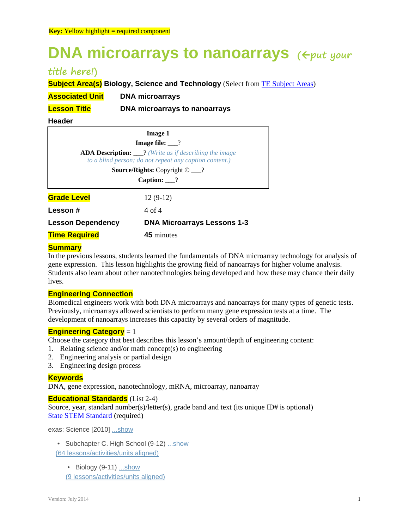# **DNA microarrays to nanoarrays** ( $\epsilon_{put}$  your

# **title here!)**

**Subject Area(s) Biology, Science and Technology** (Select from **TE Subject Areas)** 

**Associated Unit DNA microarrays** 

**Lesson Title DNA microarrays to nanoarrays**

## **Header**

| <b>Image 1</b><br><b>Image file:</b> $\_\$ ?                           |                                    |
|------------------------------------------------------------------------|------------------------------------|
|                                                                        |                                    |
| <b>Source/Rights:</b> Copyright $\odot$ ___?<br>Caption: $\frac{?}{?}$ |                                    |
|                                                                        |                                    |
| Lesson#                                                                | 4 of 4                             |
| <b>Lesson Dependency</b>                                               | <b>DNA Microarrays Lessons 1-3</b> |
| <b>Time Required</b>                                                   | <b>45</b> minutes                  |

# **Summary**

In the previous lessons, students learned the fundamentals of DNA microarray technology for analysis of gene expression. This lesson highlights the growing field of nanoarrays for higher volume analysis. Students also learn about other nanotechnologies being developed and how these may chance their daily lives.

# **Engineering Connection**

Biomedical engineers work with both DNA microarrays and nanoarrays for many types of genetic tests. Previously, microarrays allowed scientists to perform many gene expression tests at a time. The development of nanoarrays increases this capacity by several orders of magnitude.

# **Engineering Category** = 1

Choose the category that best describes this lesson's amount/depth of engineering content:

- 1. Relating science and/or math concept(s) to engineering
- 2. Engineering analysis or partial design
- 3. Engineering design process

# **Keywords**

DNA, gene expression, nanotechnology, mRNA, microarray, nanoarray

# **Educational Standards** (List 2-4)

Source, year, standard number(s)/letter(s), grade band and text (its unique ID# is optional) State STEM Standard (required)

exas: Science [2010] ...show

• Subchapter C. High School (9-12) ...show

(64 lessons/activities/units aligned)

• Biology (9-11) ... show

(9 lessons/activities/units aligned)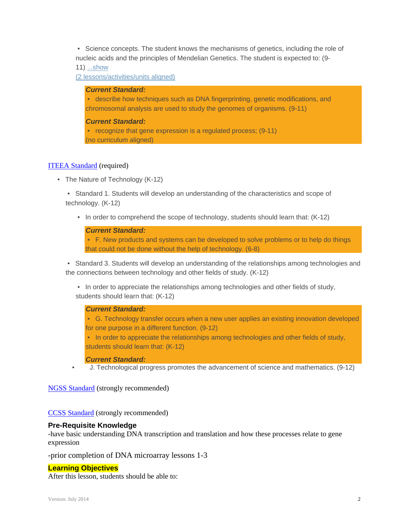• Science concepts. The student knows the mechanisms of genetics, including the role of nucleic acids and the principles of Mendelian Genetics. The student is expected to: (9-

11) ...show

(2 lessons/activities/units aligned)

#### *Current Standard:*

 • describe how techniques such as DNA fingerprinting, genetic modifications, and chromosomal analysis are used to study the genomes of organisms. (9-11)

#### *Current Standard:*

• recognize that gene expression is a regulated process; (9-11) (no curriculum aligned)

#### ITEEA Standard (required)

• The Nature of Technology (K-12)

 • Standard 1. Students will develop an understanding of the characteristics and scope of technology. (K-12)

• In order to comprehend the scope of technology, students should learn that: (K-12)

## *Current Standard:*

 • F. New products and systems can be developed to solve problems or to help do things that could not be done without the help of technology. (6-8)

 • Standard 3. Students will develop an understanding of the relationships among technologies and the connections between technology and other fields of study. (K-12)

 • In order to appreciate the relationships among technologies and other fields of study, students should learn that: (K-12)

# *Current Standard:*

 • G. Technology transfer occurs when a new user applies an existing innovation developed for one purpose in a different function. (9-12)

 • In order to appreciate the relationships among technologies and other fields of study, students should learn that: (K-12)

#### *Current Standard:*

• J. Technological progress promotes the advancement of science and mathematics. (9-12)

NGSS Standard (strongly recommended)

CCSS Standard (strongly recommended)

#### **Pre-Requisite Knowledge**

-have basic understanding DNA transcription and translation and how these processes relate to gene expression

-prior completion of DNA microarray lessons 1-3

#### **Learning Objectives**

After this lesson, students should be able to: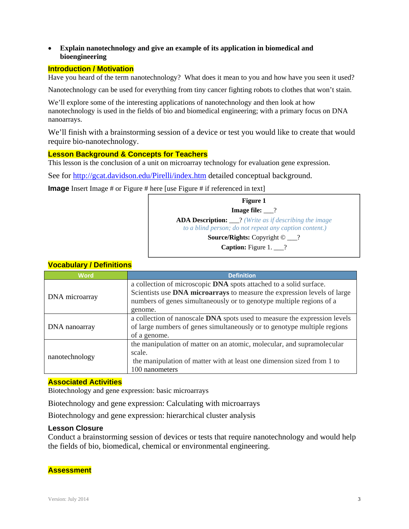# **Explain nanotechnology and give an example of its application in biomedical and bioengineering**

# **Introduction / Motivation**

Have you heard of the term nanotechnology? What does it mean to you and how have you seen it used?

Nanotechnology can be used for everything from tiny cancer fighting robots to clothes that won't stain.

We'll explore some of the interesting applications of nanotechnology and then look at how nanotechnology is used in the fields of bio and biomedical engineering; with a primary focus on DNA nanoarrays.

We'll finish with a brainstorming session of a device or test you would like to create that would require bio-nanotechnology.

# **Lesson Background & Concepts for Teachers**

This lesson is the conclusion of a unit on microarray technology for evaluation gene expression.

See for http://gcat.davidson.edu/Pirelli/index.htm detailed conceptual background.

**Image** Insert Image # or Figure # here [use Figure # if referenced in text]

| Figure 1                                                                                                                 |  |
|--------------------------------------------------------------------------------------------------------------------------|--|
| <b>Image file:</b> ?                                                                                                     |  |
| <b>ADA Description:</b> ___? (Write as if describing the image<br>to a blind person; do not repeat any caption content.) |  |
| <b>Source/Rights:</b> Copyright $\odot$ __?                                                                              |  |
| <b>Caption:</b> Figure 1. $\_\!\_$ ?                                                                                     |  |

| <b>Word</b>    | <b>Definition</b>                                                         |
|----------------|---------------------------------------------------------------------------|
| DNA microarray | a collection of microscopic DNA spots attached to a solid surface.        |
|                | Scientists use DNA microarrays to measure the expression levels of large  |
|                | numbers of genes simultaneously or to genotype multiple regions of a      |
|                | genome.                                                                   |
| DNA nanoarray  | a collection of nanoscale DNA spots used to measure the expression levels |
|                | of large numbers of genes simultaneously or to genotype multiple regions  |
|                | of a genome.                                                              |
| nanotechnology | the manipulation of matter on an atomic, molecular, and supramolecular    |
|                | scale.                                                                    |
|                | the manipulation of matter with at least one dimension sized from 1 to    |
|                | 100 nanometers                                                            |

# **Vocabulary / Definitions**

#### **Associated Activities**

Biotechnology and gene expression: basic microarrays

Biotechnology and gene expression: Calculating with microarrays

Biotechnology and gene expression: hierarchical cluster analysis

# **Lesson Closure**

Conduct a brainstorming session of devices or tests that require nanotechnology and would help the fields of bio, biomedical, chemical or environmental engineering.

# **Assessment**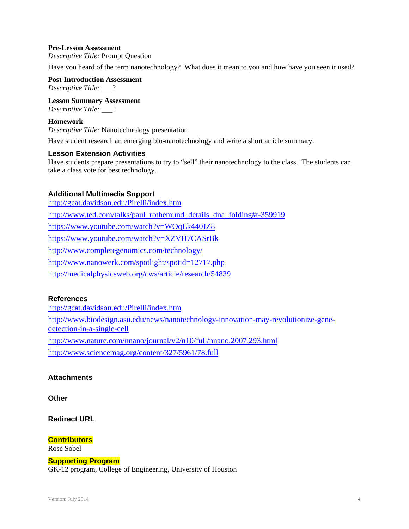### **Pre-Lesson Assessment**

*Descriptive Title:* Prompt Question

Have you heard of the term nanotechnology? What does it mean to you and how have you seen it used?

**Post-Introduction Assessment**  *Descriptive Title:* \_\_\_?

**Lesson Summary Assessment**  *Descriptive Title:* \_\_\_?

#### **Homework**

*Descriptive Title:* Nanotechnology presentation

Have student research an emerging bio-nanotechnology and write a short article summary.

#### **Lesson Extension Activities**

Have students prepare presentations to try to "sell" their nanotechnology to the class. The students can take a class vote for best technology.

#### **Additional Multimedia Support**

http://gcat.davidson.edu/Pirelli/index.htm http://www.ted.com/talks/paul\_rothemund\_details\_dna\_folding#t-359919 https://www.youtube.com/watch?v=WOqEk440JZ8 https://www.youtube.com/watch?v=XZVH7CASrBk http://www.completegenomics.com/technology/ http://www.nanowerk.com/spotlight/spotid=12717.php http://medicalphysicsweb.org/cws/article/research/54839

# **References**

http://gcat.davidson.edu/Pirelli/index.htm http://www.biodesign.asu.edu/news/nanotechnology-innovation-may-revolutionize-genedetection-in-a-single-cell http://www.nature.com/nnano/journal/v2/n10/full/nnano.2007.293.html http://www.sciencemag.org/content/327/5961/78.full

#### **Attachments**

**Other** 

**Redirect URL** 

**Contributors**

Rose Sobel

**Supporting Program** 

GK-12 program, College of Engineering, University of Houston